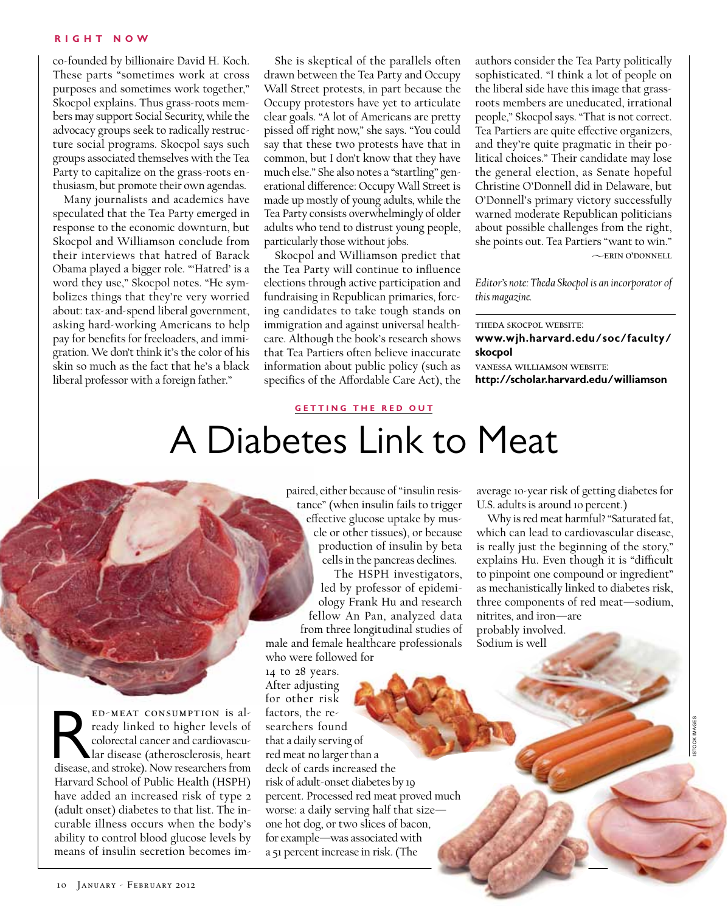## **R ight N o w**

co-founded by billionaire David H. Koch. These parts "sometimes work at cross purposes and sometimes work together," Skocpol explains. Thus grass-roots members may support Social Security, while the advocacy groups seek to radically restructure social programs. Skocpol says such groups associated themselves with the Tea Party to capitalize on the grass-roots enthusiasm, but promote their own agendas.

Many journalists and academics have speculated that the Tea Party emerged in response to the economic downturn, but Skocpol and Williamson conclude from their interviews that hatred of Barack Obama played a bigger role. "'Hatred' is a word they use," Skocpol notes. "He symbolizes things that they're very worried about: tax-and-spend liberal government, asking hard-working Americans to help pay for benefits for freeloaders, and immigration. We don't think it's the color of his skin so much as the fact that he's a black liberal professor with a foreign father."

She is skeptical of the parallels often drawn between the Tea Party and Occupy Wall Street protests, in part because the Occupy protestors have yet to articulate clear goals. "A lot of Americans are pretty pissed off right now," she says. "You could say that these two protests have that in common, but I don't know that they have much else." She also notes a "startling" generational difference: Occupy Wall Street is made up mostly of young adults, while the Tea Party consists overwhelmingly of older adults who tend to distrust young people, particularly those without jobs.

Skocpol and Williamson predict that the Tea Party will continue to influence elections through active participation and fundraising in Republican primaries, forcing candidates to take tough stands on immigration and against universal healthcare. Although the book's research shows that Tea Partiers often believe inaccurate information about public policy (such as specifics of the Affordable Care Act), the

authors consider the Tea Party politically sophisticated. "I think a lot of people on the liberal side have this image that grassroots members are uneducated, irrational people," Skocpol says. "That is not correct. Tea Partiers are quite effective organizers, and they're quite pragmatic in their political choices." Their candidate may lose the general election, as Senate hopeful Christine O'Donnell did in Delaware, but O'Donnell's primary victory successfully warned moderate Republican politicians about possible challenges from the right, she points out. Tea Partiers "want to win."  $\sim$ ERIN O'DONNELL

*Editor's note: Theda Skocpol is an incorporator of this magazine.*

theda skocpol website:

**www.wjh.harvard.edu/soc/faculty/ skocpol**

vanessa williamson website: **http://scholar.harvard.edu/williamson**

## **getting the red out**

## A Diabetes Link to Meat

paired, either because of "insulin resistance" (when insulin fails to trigger effective glucose uptake by muscle or other tissues), or because production of insulin by beta cells in the pancreas declines.

The HSPH investigators, led by professor of epidemiology Frank Hu and research fellow An Pan, analyzed data from three longitudinal studies of

male and female healthcare professionals who were followed for

14 to 28 years. After adjusting for other risk factors, the researchers found that a daily serving of red meat no larger than a deck of cards increased the risk of adult-onset diabetes by 19 percent. Processed red meat proved much worse: a daily serving half that size one hot dog, or two slices of bacon, for example—was associated with a 51 percent increase in risk. (The

average 10-year risk of getting diabetes for U.S. adults is around 10 percent.)

Why is red meat harmful? "Saturated fat, which can lead to cardiovascular disease, is really just the beginning of the story," explains Hu. Even though it is "difficult to pinpoint one compound or ingredient" as mechanistically linked to diabetes risk, three components of red meat—sodium, nitrites, and iron—are probably involved. Sodium is well

ED-MEAT CONSUMPTION is al-<br>ready linked to higher levels of<br>colorectal cancer and cardiovascu-<br>lar disease (atherosclerosis, heart<br>disease, and stroke). Now researchers from ready linked to higher levels of colorectal cancer and cardiovascular disease (atherosclerosis, heart Harvard School of Public Health (HSPH) have added an increased risk of type 2 (adult onset) diabetes to that list. The incurable illness occurs when the body's ability to control blood glucose levels by means of insulin secretion becomes im